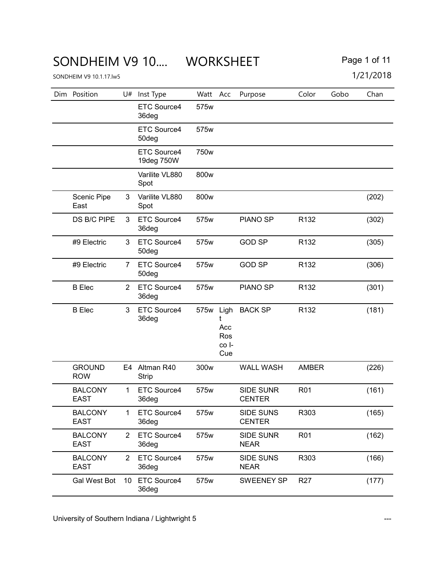# SONDHEIM V9 10.... WORKSHEET Page 1 of 11

| Dim Position                  | U#              | Inst Type                   | Watt             | Acc                        | Purpose                           | Color            | Gobo | Chan  |
|-------------------------------|-----------------|-----------------------------|------------------|----------------------------|-----------------------------------|------------------|------|-------|
|                               |                 | ETC Source4<br>36deg        | 575w             |                            |                                   |                  |      |       |
|                               |                 | ETC Source4<br>50deg        | 575w             |                            |                                   |                  |      |       |
|                               |                 | ETC Source4<br>19deg 750W   | 750 <sub>w</sub> |                            |                                   |                  |      |       |
|                               |                 | Varilite VL880<br>Spot      | 800w             |                            |                                   |                  |      |       |
| Scenic Pipe<br>East           | 3               | Varilite VL880<br>Spot      | 800w             |                            |                                   |                  |      | (202) |
| DS B/C PIPE                   | 3               | ETC Source4<br>36deg        | 575w             |                            | <b>PIANO SP</b>                   | R <sub>132</sub> |      | (302) |
| #9 Electric                   | 3               | ETC Source4<br>50deg        | 575w             |                            | <b>GOD SP</b>                     | R <sub>132</sub> |      | (305) |
| #9 Electric                   | 7               | ETC Source4<br>50deg        | 575w             |                            | <b>GOD SP</b>                     | R132             |      | (306) |
| <b>B</b> Elec                 | 2               | ETC Source4<br>36deg        | 575w             |                            | <b>PIANO SP</b>                   | R <sub>132</sub> |      | (301) |
| <b>B</b> Elec                 | 3               | ETC Source4<br>36deg        | 575w Ligh        | Acc<br>Ros<br>co I-<br>Cue | <b>BACK SP</b>                    | R132             |      | (181) |
| <b>GROUND</b><br><b>ROW</b>   |                 | E4 Altman R40<br>Strip      | 300w             |                            | <b>WALL WASH</b>                  | <b>AMBER</b>     |      | (226) |
| <b>BALCONY</b><br><b>EAST</b> | 1               | ETC Source4<br>36deg        | 575w             |                            | <b>SIDE SUNR</b><br><b>CENTER</b> | R <sub>01</sub>  |      | (161) |
| <b>BALCONY</b><br>EAST        | $\mathbf{1}$    | ETC Source4<br>36deg        | 575w             |                            | SIDE SUNS<br><b>CENTER</b>        | R303             |      | (165) |
| <b>BALCONY</b><br><b>EAST</b> | $\overline{2}$  | ETC Source4<br>36deg        | 575w             |                            | <b>SIDE SUNR</b><br><b>NEAR</b>   | R <sub>01</sub>  |      | (162) |
| <b>BALCONY</b><br><b>EAST</b> | 2               | ETC Source4<br>36deg        | 575w             |                            | SIDE SUNS<br><b>NEAR</b>          | R303             |      | (166) |
| Gal West Bot                  | 10 <sup>°</sup> | <b>ETC Source4</b><br>36deg | 575w             |                            | <b>SWEENEY SP</b>                 | R <sub>27</sub>  |      | (177) |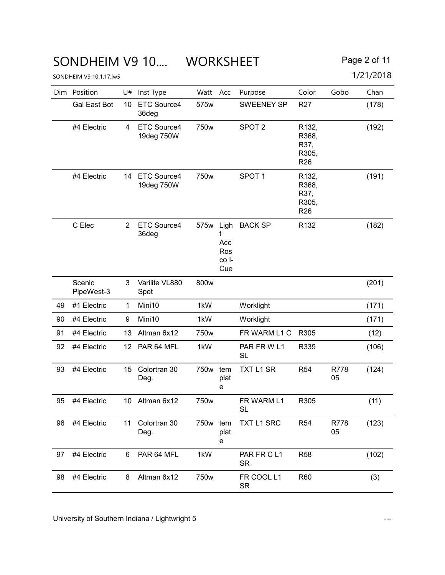### SONDHEIM V9 10.... WORKSHEET Page 2 of 11

|  | ` <sup>→</sup> age 2 of 11 |
|--|----------------------------|
|--|----------------------------|

| Dim | Position             | U#              | Inst Type                        | Watt             | Acc                                     | Purpose                  | Color                                                           | Gobo       | Chan  |
|-----|----------------------|-----------------|----------------------------------|------------------|-----------------------------------------|--------------------------|-----------------------------------------------------------------|------------|-------|
|     | <b>Gal East Bot</b>  | 10              | ETC Source4<br>36deg             | 575w             |                                         | <b>SWEENEY SP</b>        | R <sub>27</sub>                                                 |            | (178) |
|     | #4 Electric          | 4               | ETC Source4<br>19deg 750W        | 750w             |                                         | SPOT <sub>2</sub>        | R132,<br>R368,<br>R37,<br>R305,<br>R <sub>26</sub>              |            | (192) |
|     | #4 Electric          | 14              | <b>ETC Source4</b><br>19deg 750W | 750w             |                                         | SPOT <sub>1</sub>        | R <sub>132</sub> ,<br>R368,<br>R37,<br>R305,<br>R <sub>26</sub> |            | (191) |
|     | C Elec               | $\overline{2}$  | ETC Source4<br>36deg             | 575w             | Ligh<br>t<br>Acc<br>Ros<br>co I-<br>Cue | <b>BACK SP</b>           | R <sub>132</sub>                                                |            | (182) |
|     | Scenic<br>PipeWest-3 | 3               | Varilite VL880<br>Spot           | 800w             |                                         |                          |                                                                 |            | (201) |
| 49  | #1 Electric          | 1               | Mini10                           | 1kW              |                                         | Worklight                |                                                                 |            | (171) |
| 90  | #4 Electric          | 9               | Mini10                           | 1kW              |                                         | Worklight                |                                                                 |            | (171) |
| 91  | #4 Electric          | 13              | Altman 6x12                      | 750w             |                                         | FR WARM L1 C             | R305                                                            |            | (12)  |
| 92  | #4 Electric          | 12              | PAR 64 MFL                       | 1kW              |                                         | PAR FRWL1<br><b>SL</b>   | R339                                                            |            | (106) |
| 93  | #4 Electric          | 15              | Colortran 30<br>Deg.             | 750w             | tem<br>plat<br>е                        | <b>TXT L1 SR</b>         | R <sub>54</sub>                                                 | R778<br>05 | (124) |
| 95  | #4 Electric          | 10 <sup>°</sup> | Altman 6x12                      | 750 <sub>w</sub> |                                         | FR WARM L1<br>SL         | R305                                                            |            | (11)  |
| 96  | #4 Electric          | 11              | Colortran 30<br>Deg.             | 750w             | tem<br>plat<br>е                        | TXT L1 SRC               | R <sub>54</sub>                                                 | R778<br>05 | (123) |
| 97  | #4 Electric          | 6               | PAR 64 MFL                       | 1kW              |                                         | PAR FR C L1<br><b>SR</b> | <b>R58</b>                                                      |            | (102) |
| 98  | #4 Electric          | 8               | Altman 6x12                      | 750w             |                                         | FR COOL L1<br><b>SR</b>  | R60                                                             |            | (3)   |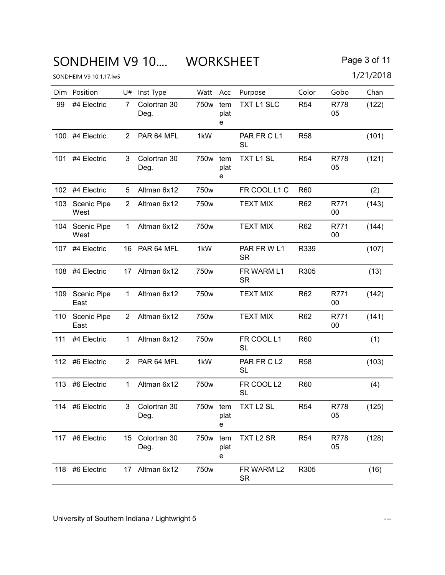# SONDHEIM V9 10.... WORKSHEET Page 3 of 11

| Page 3 of 11 |  |  |  |  |
|--------------|--|--|--|--|
|--------------|--|--|--|--|

|     | Dim Position        | U#             | Inst Type            | Watt Acc         |                  | Purpose                 | Color           | Gobo           | Chan  |
|-----|---------------------|----------------|----------------------|------------------|------------------|-------------------------|-----------------|----------------|-------|
| 99  | #4 Electric         | 7              | Colortran 30<br>Deg. | 750w             | tem<br>plat<br>е | <b>TXT L1 SLC</b>       | R <sub>54</sub> | R778<br>05     | (122) |
|     | 100 #4 Electric     | $\overline{2}$ | PAR 64 MFL           | 1kW              |                  | PAR FR CL1<br><b>SL</b> | <b>R58</b>      |                | (101) |
| 101 | #4 Electric         | 3              | Colortran 30<br>Deg. | 750w tem         | plat<br>е        | TXT L1 SL               | <b>R54</b>      | R778<br>05     | (121) |
| 102 | #4 Electric         | 5              | Altman 6x12          | 750w             |                  | FR COOL L1 C            | R60             |                | (2)   |
| 103 | Scenic Pipe<br>West | $\overline{2}$ | Altman 6x12          | 750w             |                  | <b>TEXT MIX</b>         | R62             | R771<br>00     | (143) |
| 104 | Scenic Pipe<br>West | 1              | Altman 6x12          | 750 <sub>w</sub> |                  | <b>TEXT MIX</b>         | R <sub>62</sub> | R771<br>00     | (144) |
|     | 107 #4 Electric     | 16             | PAR 64 MFL           | 1kW              |                  | PAR FRWL1<br><b>SR</b>  | R339            |                | (107) |
|     | 108 #4 Electric     |                | 17 Altman 6x12       | 750w             |                  | FR WARM L1<br><b>SR</b> | R305            |                | (13)  |
| 109 | Scenic Pipe<br>East | $\mathbf 1$    | Altman 6x12          | 750w             |                  | <b>TEXT MIX</b>         | R62             | R771<br>$00\,$ | (142) |
| 110 | Scenic Pipe<br>East | $\overline{2}$ | Altman 6x12          | 750w             |                  | <b>TEXT MIX</b>         | R62             | R771<br>00     | (141) |
| 111 | #4 Electric         | $\mathbf 1$    | Altman 6x12          | 750w             |                  | FR COOL L1<br>SL        | <b>R60</b>      |                | (1)   |
| 112 | #6 Electric         | $\overline{2}$ | PAR 64 MFL           | 1kW              |                  | PAR FR CL2<br><b>SL</b> | <b>R58</b>      |                | (103) |
| 113 | #6 Electric         | $\mathbf{1}$   | Altman 6x12          | 750w             |                  | FR COOL L2<br><b>SL</b> | R60             |                | (4)   |
|     | 114 #6 Electric     | 3              | Colortran 30<br>Deg. | 750w tem         | plat<br>е        | TXT L <sub>2</sub> SL   | <b>R54</b>      | R778<br>05     | (125) |
| 117 | #6 Electric         | 15             | Colortran 30<br>Deg. | 750 <sub>w</sub> | tem<br>plat<br>е | TXT L2 SR               | R <sub>54</sub> | R778<br>05     | (128) |
| 118 | #6 Electric         | 17             | Altman 6x12          | 750w             |                  | FR WARM L2<br><b>SR</b> | R305            |                | (16)  |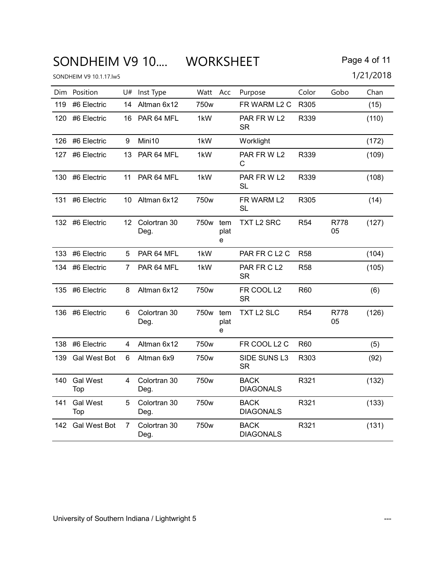# SONDHEIM V9 10.... WORKSHEET Page 4 of 11

|     | Dim Position           | U# | Inst Type               | Watt             | Acc              | Purpose                         | Color      | Gobo       | Chan  |
|-----|------------------------|----|-------------------------|------------------|------------------|---------------------------------|------------|------------|-------|
| 119 | #6 Electric            | 14 | Altman 6x12             | 750w             |                  | FR WARM L2 C                    | R305       |            | (15)  |
| 120 | #6 Electric            | 16 | PAR 64 MFL              | 1kW              |                  | PAR FRWL2<br><b>SR</b>          | R339       |            | (110) |
|     | 126 #6 Electric        | 9  | Mini10                  | 1kW              |                  | Worklight                       |            |            | (172) |
| 127 | #6 Electric            | 13 | PAR 64 MFL              | 1kW              |                  | PAR FRWL2<br>C                  | R339       |            | (109) |
|     | 130 #6 Electric        | 11 | PAR 64 MFL              | 1kW              |                  | PAR FRW L2<br><b>SL</b>         | R339       |            | (108) |
| 131 | #6 Electric            | 10 | Altman 6x12             | 750w             |                  | FR WARM L2<br><b>SL</b>         | R305       |            | (14)  |
|     | 132 #6 Electric        |    | 12 Colortran 30<br>Deg. | 750w tem         | plat<br>e        | TXT L2 SRC                      | <b>R54</b> | R778<br>05 | (127) |
|     | 133 #6 Electric        | 5  | PAR 64 MFL              | 1kW              |                  | PAR FR C L2 C                   | <b>R58</b> |            | (104) |
|     | 134 #6 Electric        | 7  | PAR 64 MFL              | 1kW              |                  | PAR FR CL2<br><b>SR</b>         | <b>R58</b> |            | (105) |
|     | 135 #6 Electric        | 8  | Altman 6x12             | 750w             |                  | FR COOL L2<br><b>SR</b>         | R60        |            | (6)   |
|     | 136 #6 Electric        | 6  | Colortran 30<br>Deg.    | 750 <sub>w</sub> | tem<br>plat<br>е | TXT L2 SLC                      | <b>R54</b> | R778<br>05 | (126) |
|     | 138 #6 Electric        | 4  | Altman 6x12             | 750 <sub>w</sub> |                  | FR COOL L2 C                    | <b>R60</b> |            | (5)   |
| 139 | Gal West Bot           | 6  | Altman 6x9              | 750w             |                  | SIDE SUNS L3<br><b>SR</b>       | R303       |            | (92)  |
| 140 | <b>Gal West</b><br>Top | 4  | Colortran 30<br>Deg.    | 750 <sub>w</sub> |                  | <b>BACK</b><br><b>DIAGONALS</b> | R321       |            | (132) |
| 141 | <b>Gal West</b><br>Top | 5  | Colortran 30<br>Deg.    | 750w             |                  | <b>BACK</b><br><b>DIAGONALS</b> | R321       |            | (133) |
| 142 | <b>Gal West Bot</b>    | 7  | Colortran 30<br>Deg.    | 750w             |                  | <b>BACK</b><br><b>DIAGONALS</b> | R321       |            | (131) |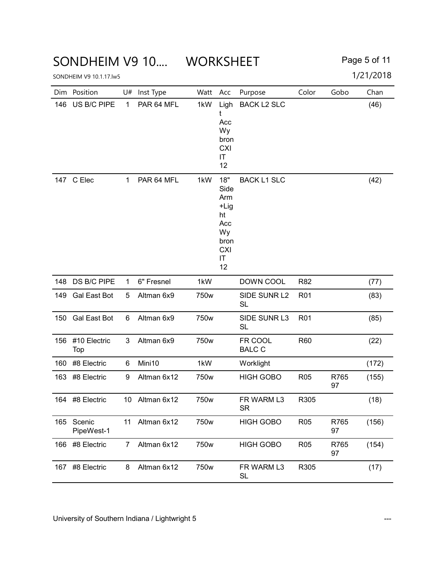#### SONDHEIM V9 10.... WORKSHEET Page 5 of 11

|     | Dim Position         | U#           | Inst Type   | Watt | Acc                                                                             | Purpose                   | Color           | Gobo       | Chan  |
|-----|----------------------|--------------|-------------|------|---------------------------------------------------------------------------------|---------------------------|-----------------|------------|-------|
| 146 | US B/C PIPE          | $\mathbf{1}$ | PAR 64 MFL  | 1kW  | Ligh<br>t<br>Acc<br>Wy<br>bron<br><b>CXI</b><br>IT<br>12                        | <b>BACK L2 SLC</b>        |                 |            | (46)  |
|     | 147 C Elec           | $\mathbf 1$  | PAR 64 MFL  | 1kW  | 18"<br>Side<br>Arm<br>+Lig<br>ht<br>Acc<br>Wy<br>bron<br><b>CXI</b><br>IT<br>12 | <b>BACK L1 SLC</b>        |                 |            | (42)  |
| 148 | DS B/C PIPE          | $\mathbf{1}$ | 6" Fresnel  | 1kW  |                                                                                 | DOWN COOL                 | R82             |            | (77)  |
| 149 | <b>Gal East Bot</b>  | 5            | Altman 6x9  | 750w |                                                                                 | SIDE SUNR L2<br><b>SL</b> | R <sub>01</sub> |            | (83)  |
| 150 | Gal East Bot         | 6            | Altman 6x9  | 750w |                                                                                 | SIDE SUNR L3<br><b>SL</b> | R <sub>01</sub> |            | (85)  |
| 156 | #10 Electric<br>Top  | 3            | Altman 6x9  | 750w |                                                                                 | FR COOL<br><b>BALC C</b>  | R60             |            | (22)  |
| 160 | #8 Electric          | 6            | Mini10      | 1kW  |                                                                                 | Worklight                 |                 |            | (172) |
| 163 | #8 Electric          | 9            | Altman 6x12 | 750w |                                                                                 | <b>HIGH GOBO</b>          | R <sub>05</sub> | R765<br>97 | (155) |
| 164 | #8 Electric          | 10           | Altman 6x12 | 750w |                                                                                 | FR WARM L3<br><b>SR</b>   | R305            |            | (18)  |
| 165 | Scenic<br>PipeWest-1 | 11           | Altman 6x12 | 750w |                                                                                 | <b>HIGH GOBO</b>          | R <sub>05</sub> | R765<br>97 | (156) |
| 166 | #8 Electric          | 7            | Altman 6x12 | 750w |                                                                                 | <b>HIGH GOBO</b>          | R <sub>05</sub> | R765<br>97 | (154) |
| 167 | #8 Electric          | 8            | Altman 6x12 | 750w |                                                                                 | FR WARM L3<br><b>SL</b>   | R305            |            | (17)  |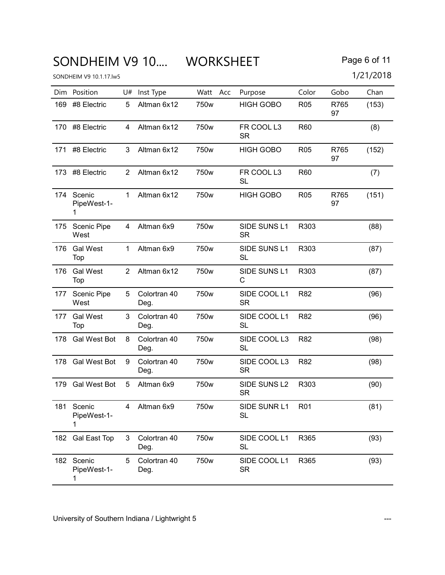### SONDHEIM V9 10.... WORKSHEET Page 6 of 11

|     | Dim Position                   |                | U# Inst Type         | Watt Acc         | Purpose                       | Color      | Gobo       | Chan  |
|-----|--------------------------------|----------------|----------------------|------------------|-------------------------------|------------|------------|-------|
| 169 | #8 Electric                    | 5              | Altman 6x12          | 750 <sub>w</sub> | <b>HIGH GOBO</b>              | <b>R05</b> | R765<br>97 | (153) |
| 170 | #8 Electric                    | 4              | Altman 6x12          | 750w             | FR COOL L3<br><b>SR</b>       | <b>R60</b> |            | (8)   |
| 171 | #8 Electric                    | 3              | Altman 6x12          | 750 <sub>w</sub> | <b>HIGH GOBO</b>              | <b>R05</b> | R765<br>97 | (152) |
|     | 173 #8 Electric                | 2              | Altman 6x12          | 750w             | FR COOL L3<br>SL              | <b>R60</b> |            | (7)   |
| 174 | Scenic<br>PipeWest-1-<br>1     | 1              | Altman 6x12          | 750 <sub>w</sub> | <b>HIGH GOBO</b>              | <b>R05</b> | R765<br>97 | (151) |
| 175 | Scenic Pipe<br>West            | 4              | Altman 6x9           | 750w             | SIDE SUNS L1<br><b>SR</b>     | R303       |            | (88)  |
| 176 | <b>Gal West</b><br>Top         | $\mathbf{1}$   | Altman 6x9           | 750w             | SIDE SUNS L1<br><b>SL</b>     | R303       |            | (87)  |
| 176 | <b>Gal West</b><br>Top         | $\overline{2}$ | Altman 6x12          | 750w             | SIDE SUNS L1<br>С             | R303       |            | (87)  |
|     | 177 Scenic Pipe<br>West        | 5              | Colortran 40<br>Deg. | 750w             | SIDE COOL L1<br><b>SR</b>     | R82        |            | (96)  |
| 177 | <b>Gal West</b><br>Top         | 3              | Colortran 40<br>Deg. | 750w             | SIDE COOL L1<br><b>SL</b>     | R82        |            | (96)  |
| 178 | <b>Gal West Bot</b>            | 8              | Colortran 40<br>Deg. | 750w             | SIDE COOL L3<br><b>SL</b>     | R82        |            | (98)  |
| 178 | Gal West Bot                   | 9              | Colortran 40<br>Deg. | 750w             | SIDE COOL L3<br><b>SR</b>     | R82        |            | (98)  |
| 179 | Gal West Bot                   | 5              | Altman 6x9           | 750w             | SIDE SUNS L2<br><b>SR</b>     | R303       |            | (90)  |
|     | 181 Scenic<br>PipeWest-1-<br>1 |                | Altman 6x9           | 750w             | SIDE SUNR L1 R01<br><b>SL</b> |            |            | (81)  |
|     | 182 Gal East Top               | 3              | Colortran 40<br>Deg. | 750w             | SIDE COOL L1<br><b>SL</b>     | R365       |            | (93)  |
| 182 | Scenic<br>PipeWest-1-<br>1     | 5              | Colortran 40<br>Deg. | 750w             | SIDE COOL L1<br><b>SR</b>     | R365       |            | (93)  |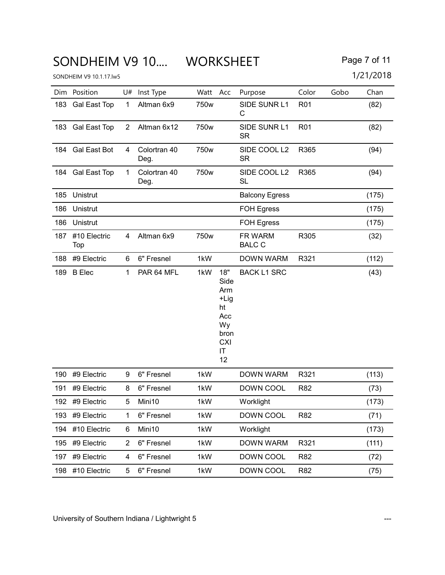### SONDHEIM V9 10.... WORKSHEET Page 7 of 11

|     | Dim Position        |                | U# Inst Type         | Watt Acc |                                                                          | Purpose                   | Color           | Gobo | Chan  |
|-----|---------------------|----------------|----------------------|----------|--------------------------------------------------------------------------|---------------------------|-----------------|------|-------|
| 183 | <b>Gal East Top</b> | $\mathbf{1}$   | Altman 6x9           | 750w     |                                                                          | SIDE SUNR L1<br>С         | R <sub>01</sub> |      | (82)  |
|     | 183 Gal East Top    | $\overline{2}$ | Altman 6x12          | 750w     |                                                                          | SIDE SUNR L1<br><b>SR</b> | R <sub>01</sub> |      | (82)  |
|     | 184 Gal East Bot    | 4              | Colortran 40<br>Deg. | 750w     |                                                                          | SIDE COOL L2<br><b>SR</b> | R365            |      | (94)  |
|     | 184 Gal East Top    | $\mathbf{1}$   | Colortran 40<br>Deg. | 750w     |                                                                          | SIDE COOL L2<br><b>SL</b> | R365            |      | (94)  |
| 185 | Unistrut            |                |                      |          |                                                                          | <b>Balcony Egress</b>     |                 |      | (175) |
| 186 | Unistrut            |                |                      |          |                                                                          | <b>FOH Egress</b>         |                 |      | (175) |
| 186 | Unistrut            |                |                      |          |                                                                          | <b>FOH Egress</b>         |                 |      | (175) |
| 187 | #10 Electric<br>Top | 4              | Altman 6x9           | 750w     |                                                                          | FR WARM<br><b>BALC C</b>  | R305            |      | (32)  |
| 188 | #9 Electric         | 6              | 6" Fresnel           | 1kW      |                                                                          | <b>DOWN WARM</b>          | R321            |      | (112) |
| 189 | <b>B</b> Elec       | $\mathbf{1}$   | PAR 64 MFL           | 1kW      | 18"<br>Side<br>Arm<br>+Lig<br>ht<br>Acc<br>Wy<br>bron<br>CXI<br>ΙT<br>12 | <b>BACK L1 SRC</b>        |                 |      | (43)  |
| 190 | #9 Electric         | 9              | 6" Fresnel           | 1kW      |                                                                          | <b>DOWN WARM</b>          | R321            |      | (113) |
| 191 | #9 Electric         | 8              | 6" Fresnel           | 1kW      |                                                                          | DOWN COOL                 | R82             |      | (73)  |
|     | 192 #9 Electric     | 5              | Mini10               | 1kW      |                                                                          | Worklight                 |                 |      | (173) |
| 193 | #9 Electric         | 1              | 6" Fresnel           | 1kW      |                                                                          | DOWN COOL                 | R82             |      | (71)  |
| 194 | #10 Electric        | 6              | Mini10               | 1kW      |                                                                          | Worklight                 |                 |      | (173) |
| 195 | #9 Electric         | $\overline{2}$ | 6" Fresnel           | 1kW      |                                                                          | <b>DOWN WARM</b>          | R321            |      | (111) |
| 197 | #9 Electric         | 4              | 6" Fresnel           | 1kW      |                                                                          | DOWN COOL                 | R82             |      | (72)  |
| 198 | #10 Electric        | 5              | 6" Fresnel           | 1kW      |                                                                          | DOWN COOL                 | R82             |      | (75)  |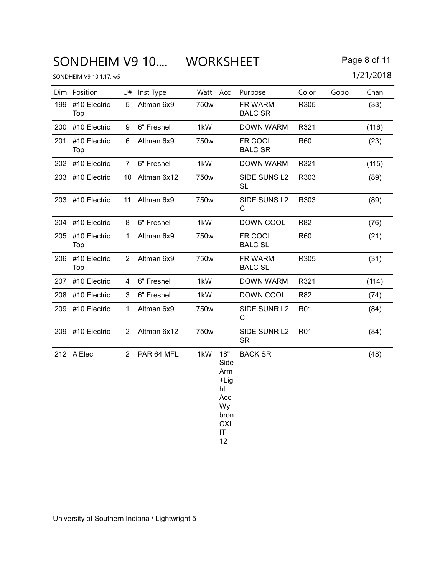# SONDHEIM V9 10.... WORKSHEET Page 8 of 11

|     | Dim Position            |                      | U# Inst Type   | Watt Acc |                                                                                  | Purpose                   | Color           | Gobo | Chan  |
|-----|-------------------------|----------------------|----------------|----------|----------------------------------------------------------------------------------|---------------------------|-----------------|------|-------|
| 199 | #10 Electric<br>Top     | 5                    | Altman 6x9     | 750w     |                                                                                  | FR WARM<br><b>BALC SR</b> | R305            |      | (33)  |
|     | 200 #10 Electric        | 9                    | 6" Fresnel     | 1kW      |                                                                                  | DOWN WARM                 | R321            |      | (116) |
| 201 | #10 Electric<br>Top     | 6                    | Altman 6x9     | 750w     |                                                                                  | FR COOL<br><b>BALC SR</b> | R60             |      | (23)  |
|     | 202 #10 Electric        | $7^{\circ}$          | 6" Fresnel     | 1kW      |                                                                                  | DOWN WARM                 | R321            |      | (115) |
|     | 203 #10 Electric        |                      | 10 Altman 6x12 | 750w     |                                                                                  | SIDE SUNS L2<br><b>SL</b> | R303            |      | (89)  |
|     | 203 #10 Electric        |                      | 11 Altman 6x9  | 750w     |                                                                                  | SIDE SUNS L2<br>С         | R303            |      | (89)  |
|     | 204 #10 Electric        | 8                    | 6" Fresnel     | 1kW      |                                                                                  | DOWN COOL                 | R82             |      | (76)  |
|     | 205 #10 Electric<br>Top | $\mathbf{1}$         | Altman 6x9     | 750w     |                                                                                  | FR COOL<br><b>BALC SL</b> | R60             |      | (21)  |
|     | 206 #10 Electric<br>Top | $\mathbf{2}^{\circ}$ | Altman 6x9     | 750w     |                                                                                  | FR WARM<br><b>BALC SL</b> | R305            |      | (31)  |
|     | 207 #10 Electric        | 4                    | 6" Fresnel     | 1kW      |                                                                                  | DOWN WARM                 | R321            |      | (114) |
|     | 208 #10 Electric        | 3                    | 6" Fresnel     | 1kW      |                                                                                  | DOWN COOL                 | R82             |      | (74)  |
|     | 209 #10 Electric        | $\mathbf{1}$         | Altman 6x9     | 750w     |                                                                                  | SIDE SUNR L2<br>С         | R <sub>01</sub> |      | (84)  |
|     | 209 #10 Electric        | $\overline{2}$       | Altman 6x12    | 750w     |                                                                                  | SIDE SUNR L2<br><b>SR</b> | R <sub>01</sub> |      | (84)  |
|     | 212 A Elec              | $2^{\circ}$          | PAR 64 MFL     | 1kW      | 18"<br>Side<br>Arm<br>+Lig<br>ht<br>Acc<br>Wy<br>bron<br><b>CXI</b><br>IT.<br>12 | <b>BACK SR</b>            |                 |      | (48)  |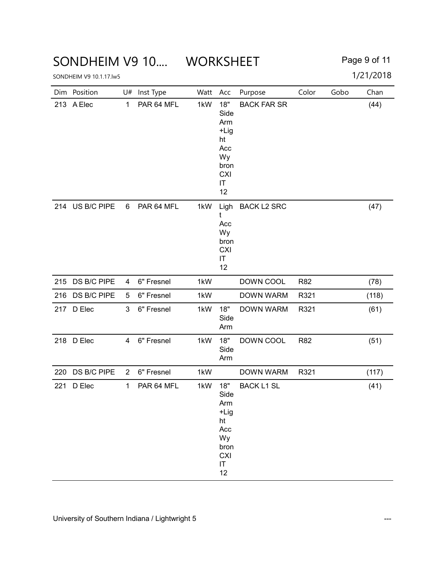### SONDHEIM V9 10.... WORKSHEET Page 9 of 11

|     | Dim Position    | U#             | Inst Type  | Watt Acc |                                                                                   | Purpose            | Color | Gobo | Chan  |
|-----|-----------------|----------------|------------|----------|-----------------------------------------------------------------------------------|--------------------|-------|------|-------|
|     | 213 A Elec      | $\mathbf{1}$   | PAR 64 MFL | 1kW      | 18"<br>Side<br>Arm<br>+Lig<br>ht<br>Acc<br>Wy<br>bron<br><b>CXI</b><br>IT<br>12   | <b>BACK FAR SR</b> |       |      | (44)  |
|     | 214 US B/C PIPE | 6              | PAR 64 MFL | 1kW      | Ligh<br>t<br>Acc<br>Wy<br>bron<br><b>CXI</b><br>IT<br>12                          | <b>BACK L2 SRC</b> |       |      | (47)  |
|     | 215 DS B/C PIPE | 4              | 6" Fresnel | 1kW      |                                                                                   | DOWN COOL          | R82   |      | (78)  |
|     | 216 DS B/C PIPE | 5              | 6" Fresnel | 1kW      |                                                                                   | <b>DOWN WARM</b>   | R321  |      | (118) |
|     | 217 D Elec      | 3              | 6" Fresnel | 1kW      | 18"<br>Side<br>Arm                                                                | <b>DOWN WARM</b>   | R321  |      | (61)  |
|     | 218 D Elec      | 4              | 6" Fresnel | 1kW      | 18"<br>Side<br>Arm                                                                | DOWN COOL          | R82   |      | (51)  |
| 220 | DS B/C PIPE     | $\overline{2}$ | 6" Fresnel | 1kW      |                                                                                   | <b>DOWN WARM</b>   | R321  |      | (117) |
| 221 | D Elec          | $\mathbf{1}$   | PAR 64 MFL | 1kW      | 18"<br>Side<br>Arm<br>$+Lig$<br>ht<br>Acc<br>Wy<br>bron<br><b>CXI</b><br>IT<br>12 | <b>BACK L1 SL</b>  |       |      | (41)  |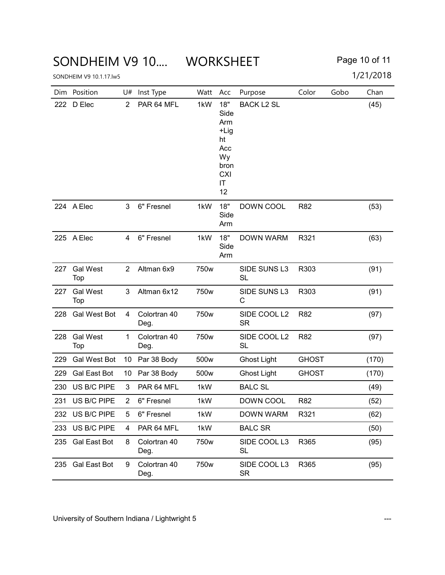### SONDHEIM V9 10.... WORKSHEET Page 10 of 11

|     | Dim Position           | U#             | Inst Type            | Watt             | Acc                                                                             | Purpose                   | Color        | Gobo | Chan  |
|-----|------------------------|----------------|----------------------|------------------|---------------------------------------------------------------------------------|---------------------------|--------------|------|-------|
| 222 | D Elec                 | $\overline{2}$ | PAR 64 MFL           | 1kW              | 18"<br>Side<br>Arm<br>+Lig<br>ht<br>Acc<br>Wy<br>bron<br><b>CXI</b><br>IT<br>12 | <b>BACK L2 SL</b>         |              |      | (45)  |
|     | 224 A Elec             | 3              | 6" Fresnel           | 1kW              | 18"<br>Side<br>Arm                                                              | DOWN COOL                 | R82          |      | (53)  |
|     | 225 A Elec             | 4              | 6" Fresnel           | 1kW              | 18"<br>Side<br>Arm                                                              | <b>DOWN WARM</b>          | R321         |      | (63)  |
| 227 | <b>Gal West</b><br>Top | $\overline{2}$ | Altman 6x9           | 750 <sub>w</sub> |                                                                                 | SIDE SUNS L3<br><b>SL</b> | R303         |      | (91)  |
| 227 | <b>Gal West</b><br>Top | 3              | Altman 6x12          | 750w             |                                                                                 | SIDE SUNS L3<br>С         | R303         |      | (91)  |
| 228 | <b>Gal West Bot</b>    | 4              | Colortran 40<br>Deg. | 750w             |                                                                                 | SIDE COOL L2<br><b>SR</b> | <b>R82</b>   |      | (97)  |
| 228 | <b>Gal West</b><br>Top | 1              | Colortran 40<br>Deg. | 750w             |                                                                                 | SIDE COOL L2<br><b>SL</b> | <b>R82</b>   |      | (97)  |
| 229 | <b>Gal West Bot</b>    | 10             | Par 38 Body          | 500w             |                                                                                 | <b>Ghost Light</b>        | <b>GHOST</b> |      | (170) |
| 229 | <b>Gal East Bot</b>    | 10             | Par 38 Body          | 500w             |                                                                                 | <b>Ghost Light</b>        | <b>GHOST</b> |      | (170) |
| 230 | US B/C PIPE            | 3              | PAR 64 MFL           | 1kW              |                                                                                 | <b>BALC SL</b>            |              |      | (49)  |
| 231 | US B/C PIPE            | $\overline{2}$ | 6" Fresnel           | 1kW              |                                                                                 | DOWN COOL                 | R82          |      | (52)  |
| 232 | US B/C PIPE            | 5              | 6" Fresnel           | 1kW              |                                                                                 | <b>DOWN WARM</b>          | R321         |      | (62)  |
| 233 | US B/C PIPE            | 4              | PAR 64 MFL           | 1kW              |                                                                                 | <b>BALC SR</b>            |              |      | (50)  |
| 235 | Gal East Bot           | 8              | Colortran 40<br>Deg. | 750w             |                                                                                 | SIDE COOL L3<br>SL        | R365         |      | (95)  |
| 235 | <b>Gal East Bot</b>    | 9              | Colortran 40<br>Deg. | 750w             |                                                                                 | SIDE COOL L3<br>SR        | R365         |      | (95)  |